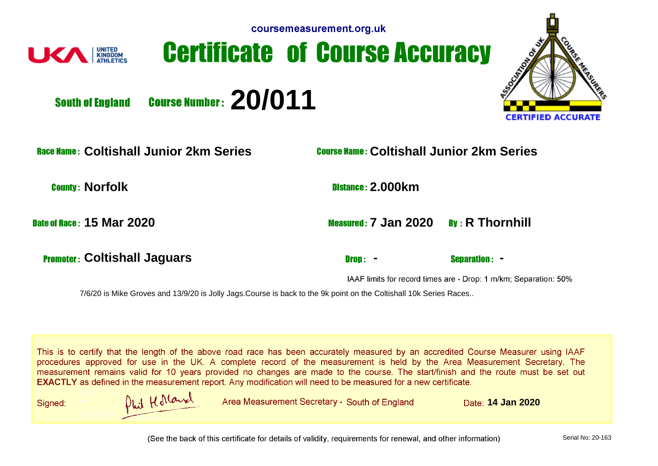

## **Certificate of Course Accuracy**



**Course Number: 20/011 South of England** 

**Coltishall Junior 2km Series Coltishall Junior 2km Series**

**County: Norfolk 2.000km** 

**15 Mar 2020 15 Mar 2020 15 Mar 2020 R** Thornhill

**Promoter: Coltishall Jaguars 4.1 Coltishall Jaguars 2.1 Coltishall Jaguars 2.1 Coltisher 2.1 Coltisher 2.1 Coltisher 2.1 Coltisher 2.1 Coltisher 2.1 Coltisher 2.1 Coltisher 2.1 Coltisher 2.1 Coltisher 2.1 Coltisher 2.1 Co** 

IAAF limits for record times are - Drop: 1 m/km; Separation: 50%

7/6/20 is Mike Groves and 13/9/20 is Jolly Jags.Course is back to the 9k point on the Coltishall 10k Series Races..

This is to certify that the length of the above road race has been accurately measured by an accredited Course Measurer using IAAF procedures approved for use in the UK. A complete record of the measurement is held by the Area Measurement Secretary. The measurement remains valid for 10 years provided no changes are made to the course. The start/finish and the route must be set out **EXACTLY** as defined in the measurement report. Any modification will need to be measured for a new certificate.

Signed:



Area Measurement Secretary - South of England **14 Date: 14 Jan 2020** 

(See the back of this certificate for details of validity, requirements for renewal, and other information)